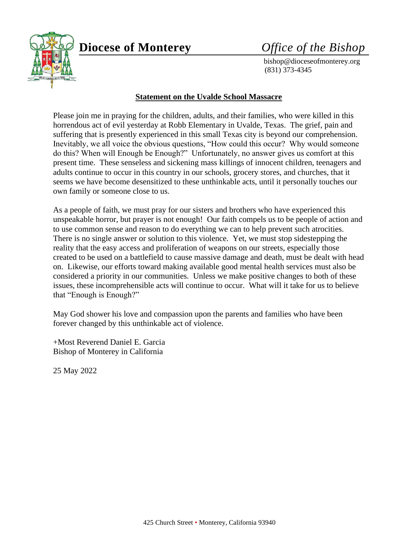

# **Diocese of Monterey** *Office of the Bishop*

 bishop@dioceseofmonterey.org (831) 373-4345

#### **Statement on the Uvalde School Massacre**

Please join me in praying for the children, adults, and their families, who were killed in this horrendous act of evil yesterday at Robb Elementary in Uvalde, Texas. The grief, pain and suffering that is presently experienced in this small Texas city is beyond our comprehension. Inevitably, we all voice the obvious questions, "How could this occur? Why would someone do this? When will Enough be Enough?" Unfortunately, no answer gives us comfort at this present time. These senseless and sickening mass killings of innocent children, teenagers and adults continue to occur in this country in our schools, grocery stores, and churches, that it seems we have become desensitized to these unthinkable acts, until it personally touches our own family or someone close to us.

As a people of faith, we must pray for our sisters and brothers who have experienced this unspeakable horror, but prayer is not enough! Our faith compels us to be people of action and to use common sense and reason to do everything we can to help prevent such atrocities. There is no single answer or solution to this violence. Yet, we must stop sidestepping the reality that the easy access and proliferation of weapons on our streets, especially those created to be used on a battlefield to cause massive damage and death, must be dealt with head on. Likewise, our efforts toward making available good mental health services must also be considered a priority in our communities. Unless we make positive changes to both of these issues, these incomprehensible acts will continue to occur. What will it take for us to believe that "Enough is Enough?"

May God shower his love and compassion upon the parents and families who have been forever changed by this unthinkable act of violence.

+Most Reverend Daniel E. Garcia Bishop of Monterey in California

25 May 2022